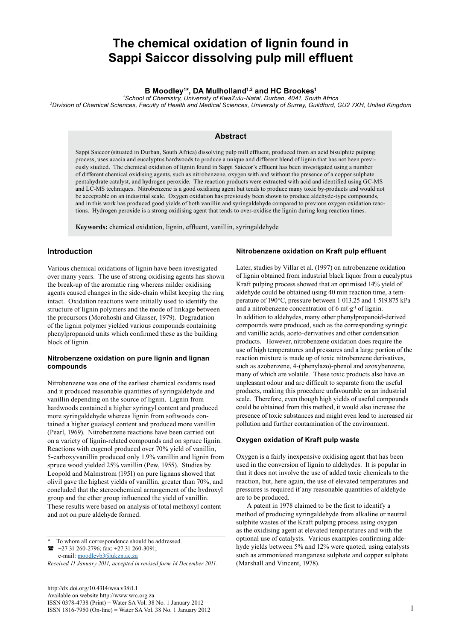# **The chemical oxidation of lignin found in Sappi Saiccor dissolving pulp mill effluent**

### **B Moodley1 \*, DA Mulholland1,2 and HC Brookes1**

*1 School of Chemistry, University of KwaZulu-Natal, Durban, 4041, South Africa 2Division of Chemical Sciences, Faculty of Health and Medical Sciences, University of Surrey, Guildford, GU2 7XH, United Kingdom*

### **Abstract**

Sappi Saiccor (situated in Durban, South Africa) dissolving pulp mill effluent, produced from an acid bisulphite pulping process, uses acacia and eucalyptus hardwoods to produce a unique and different blend of lignin that has not been previously studied. The chemical oxidation of lignin found in Sappi Saiccor's effluent has been investigated using a number of different chemical oxidising agents, such as nitrobenzene, oxygen with and without the presence of a copper sulphate pentahydrate catalyst, and hydrogen peroxide. The reaction products were extracted with acid and identified using GC-MS and LC-MS techniques. Nitrobenzene is a good oxidising agent but tends to produce many toxic by-products and would not be acceptable on an industrial scale. Oxygen oxidation has previously been shown to produce aldehyde-type compounds, and in this work has produced good yields of both vanillin and syringaldehyde compared to previous oxygen oxidation reactions. Hydrogen peroxide is a strong oxidising agent that tends to over-oxidise the lignin during long reaction times.

**Keywords:** chemical oxidation, lignin, effluent, vanillin, syringaldehyde

#### **Introduction**

Various chemical oxidations of lignin have been investigated over many years. The use of strong oxidising agents has shown the break-up of the aromatic ring whereas milder oxidising agents caused changes in the side-chain whilst keeping the ring intact. Oxidation reactions were initially used to identify the structure of lignin polymers and the mode of linkage between the precursors (Morohoshi and Glasser, 1979). Degradation of the lignin polymer yielded various compounds containing phenylpropanoid units which confirmed these as the building block of lignin.

### **Nitrobenzene oxidation on pure lignin and lignan compounds**

Nitrobenzene was one of the earliest chemical oxidants used and it produced reasonable quantities of syringaldehyde and vanillin depending on the source of lignin. Lignin from hardwoods contained a higher syringyl content and produced more syringaldehyde whereas lignin from softwoods contained a higher guaiacyl content and produced more vanillin (Pearl, 1969). Nitrobenzene reactions have been carried out on a variety of lignin-related compounds and on spruce lignin. Reactions with eugenol produced over 70% yield of vanillin, 5-carboxyvanillin produced only 1.9% vanillin and lignin from spruce wood yielded 25% vanillin (Pew, 1955). Studies by Leopold and Malmstrom (1951) on pure lignans showed that olivil gave the highest yields of vanillin, greater than 70%, and concluded that the stereochemical arrangement of the hydroxyl group and the ether group influenced the yield of vanillin. These results were based on analysis of total methoxyl content and not on pure aldehyde formed.

To whom all correspondence should be addressed. +27 31 260-2796; fax: +27 31 260-3091;

e-mail: [moodleyb3@ukzn.ac.za](mailto:moodleyb3@ukzn.ac.za) *Received 11 January 2011; accepted in revised form 14 December 2011.*

[http://dx.doi.org/10.4314/wsa.v38i1.1](http://dx.doi.org/10.4314/wsa.v37i4.18) Available on website http://www.wrc.org.za ISSN 0378-4738 (Print) = Water SA Vol. 38 No. 1 January 2012 ISSN 1816-7950 (On-line) = Water SA Vol. 38 No. 1 January 2012 1

#### **Nitrobenzene oxidation on Kraft pulp effluent**

Later, studies by Villar et al. (1997) on nitrobenzene oxidation of lignin obtained from industrial black liquor from a eucalyptus Kraft pulping process showed that an optimised 14% yield of aldehyde could be obtained using 40 min reaction time, a temperature of 190°C, pressure between 1 013.25 and 1 519.875 kPa and a nitrobenzene concentration of 6 mℓ∙g-1 of lignin. In addition to aldehydes, many other phenylpropanoid-derived compounds were produced, such as the corresponding syringic and vanillic acids, aceto-derivatives and other condensation products. However, nitrobenzene oxidation does require the use of high temperatures and pressures and a large portion of the reaction mixture is made up of toxic nitrobenzene derivatives, such as azobenzene, 4-(phenylazo)-phenol and azoxybenzene, many of which are volatile. These toxic products also have an unpleasant odour and are difficult to separate from the useful products, making this procedure unfavourable on an industrial scale. Therefore, even though high yields of useful compounds could be obtained from this method, it would also increase the presence of toxic substances and might even lead to increased air pollution and further contamination of the environment.

#### **Oxygen oxidation of Kraft pulp waste**

Oxygen is a fairly inexpensive oxidising agent that has been used in the conversion of lignin to aldehydes. It is popular in that it does not involve the use of added toxic chemicals to the reaction, but, here again, the use of elevated temperatures and pressures is required if any reasonable quantities of aldehyde are to be produced.

A patent in 1978 claimed to be the first to identify a method of producing syringaldehyde from alkaline or neutral sulphite wastes of the Kraft pulping process using oxygen as the oxidising agent at elevated temperatures and with the optional use of catalysts. Various examples confirming aldehyde yields between 5% and 12% were quoted, using catalysts such as ammoniated manganese sulphate and copper sulphate (Marshall and Vincent, 1978).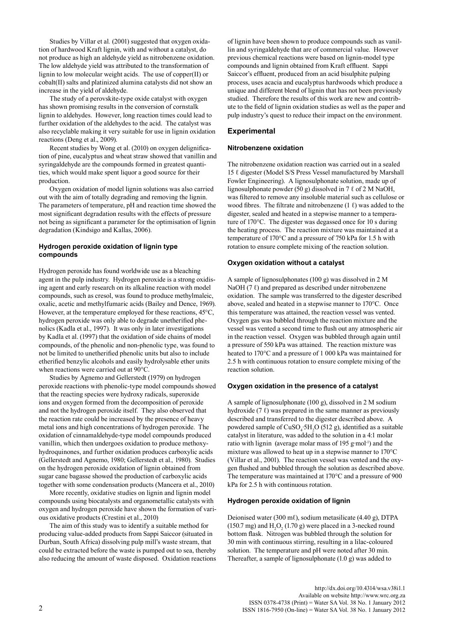Studies by Villar et al*.* (2001) suggested that oxygen oxidation of hardwood Kraft lignin, with and without a catalyst, do not produce as high an aldehyde yield as nitrobenzene oxidation. The low aldehyde yield was attributed to the transformation of lignin to low molecular weight acids. The use of copper(II) or cobalt(II) salts and platinized alumina catalysts did not show an increase in the yield of aldehyde.

The study of a perovskite-type oxide catalyst with oxygen has shown promising results in the conversion of cornstalk lignin to aldehydes. However, long reaction times could lead to further oxidation of the aldehydes to the acid. The catalyst was also recyclable making it very suitable for use in lignin oxidation reactions (Deng et al., 2009).

Recent studies by Wong et al. (2010) on oxygen delignification of pine, eucalyptus and wheat straw showed that vanillin and syringaldehyde are the compounds formed in greatest quantities, which would make spent liquor a good source for their production.

Oxygen oxidation of model lignin solutions was also carried out with the aim of totally degrading and removing the lignin. The parameters of temperature, pH and reaction time showed the most significant degradation results with the effects of pressure not being as significant a parameter for the optimisation of lignin degradation (Kindsigo and Kallas, 2006).

### **Hydrogen peroxide oxidation of lignin type compounds**

Hydrogen peroxide has found worldwide use as a bleaching agent in the pulp industry. Hydrogen peroxide is a strong oxidising agent and early research on its alkaline reaction with model compounds, such as cresol, was found to produce methylmaleic, oxalic, acetic and methylfumaric acids (Bailey and Dence, 1969). However, at the temperature employed for these reactions, 45°C, hydrogen peroxide was only able to degrade unetherified phenolics (Kadla et al., 1997). It was only in later investigations by Kadla et al. (1997) that the oxidation of side chains of model compounds, of the phenolic and non-phenolic type, was found to not be limited to unetherified phenolic units but also to include etherified benzylic alcohols and easily hydrolysable ether units when reactions were carried out at 90°C.

Studies by Agnemo and Gellerstedt (1979) on hydrogen peroxide reactions with phenolic-type model compounds showed that the reacting species were hydroxy radicals, superoxide ions and oxygen formed from the decomposition of peroxide and not the hydrogen peroxide itself. They also observed that the reaction rate could be increased by the presence of heavy metal ions and high concentrations of hydrogen peroxide. The oxidation of cinnamaldehyde-type model compounds produced vanillin, which then undergoes oxidation to produce methoxyhydroquinones, and further oxidation produces carboxylic acids (Gellerstedt and Agnemo, 1980; Gellerstedt et al.*,* 1980). Studies on the hydrogen peroxide oxidation of lignin obtained from sugar cane bagasse showed the production of carboxylic acids together with some condensation products (Mancera et al., 2010)

More recently, oxidative studies on lignin and lignin model compounds using biocatalysts and organometallic catalysts with oxygen and hydrogen peroxide have shown the formation of various oxidative products (Crestini et al., 2010)

The aim of this study was to identify a suitable method for producing value-added products from Sappi Saiccor (situated in Durban, South Africa) dissolving pulp mill's waste stream, that could be extracted before the waste is pumped out to sea, thereby also reducing the amount of waste disposed. Oxidation reactions of lignin have been shown to produce compounds such as vanillin and syringaldehyde that are of commercial value. However previous chemical reactions were based on lignin-model type compounds and lignin obtained from Kraft effluent. Sappi Saiccor's effluent, produced from an acid bisulphite pulping process, uses acacia and eucalyptus hardwoods which produce a unique and different blend of lignin that has not been previously studied. Therefore the results of this work are new and contribute to the field of lignin oxidation studies as well as the paper and pulp industry's quest to reduce their impact on the environment.

# **Experimental**

### **Nitrobenzene oxidation**

The nitrobenzene oxidation reaction was carried out in a sealed 15 ℓ digester (Model S/S Press Vessel manufactured by Marshall Fowler Engineering). A lignosulphonate solution, made up of lignosulphonate powder (50 g) dissolved in 7  $\ell$  of 2 M NaOH, was filtered to remove any insoluble material such as cellulose or wood fibres. The filtrate and nitrobenzene  $(1 \ell)$  was added to the digester, sealed and heated in a stepwise manner to a temperature of 170°C. The digester was degassed once for 10 s during the heating process. The reaction mixture was maintained at a temperature of 170°C and a pressure of 750 kPa for 1.5 h with rotation to ensure complete mixing of the reaction solution.

## **Oxygen oxidation without a catalyst**

A sample of lignosulphonates (100 g) was dissolved in 2 M NaOH (7 $\ell$ ) and prepared as described under nitrobenzene oxidation. The sample was transferred to the digester described above, sealed and heated in a stepwise manner to 170°C. Once this temperature was attained, the reaction vessel was vented. Oxygen gas was bubbled through the reaction mixture and the vessel was vented a second time to flush out any atmospheric air in the reaction vessel. Oxygen was bubbled through again until a pressure of 550 kPa was attained. The reaction mixture was heated to 170°C and a pressure of 1 000 kPa was maintained for 2.5 h with continuous rotation to ensure complete mixing of the reaction solution.

### **Oxygen oxidation in the presence of a catalyst**

A sample of lignosulphonate (100 g), dissolved in 2 M sodium hydroxide (7 $\ell$ ) was prepared in the same manner as previously described and transferred to the digester described above. A powdered sample of  $CuSO_4$ -5H<sub>2</sub>O (512 g), identified as a suitable catalyst in literature, was added to the solution in a 4:1 molar ratio with lignin (average molar mass of 195 g⋅mol<sup>-1</sup>) and the mixture was allowed to heat up in a stepwise manner to 170°C (Villar et al., 2001). The reaction vessel was vented and the oxygen flushed and bubbled through the solution as described above. The temperature was maintained at 170°C and a pressure of 900 kPa for 2.5 h with continuous rotation.

### **Hydrogen peroxide oxidation of lignin**

Deionised water (300 mℓ), sodium metasilicate (4.40 g), DTPA (150.7 mg) and  $H_2O_2$  (1.70 g) were placed in a 3-necked round bottom flask. Nitrogen was bubbled through the solution for 30 min with continuous stirring, resulting in a lilac-coloured solution. The temperature and pH were noted after 30 min. Thereafter, a sample of lignosulphonate (1.0 g) was added to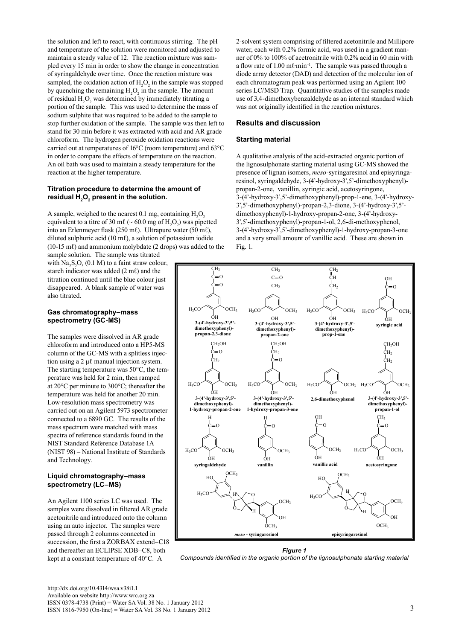the solution and left to react, with continuous stirring. The pH and temperature of the solution were monitored and adjusted to maintain a steady value of 12. The reaction mixture was sampled every 15 min in order to show the change in concentration of syringaldehyde over time. Once the reaction mixture was sampled, the oxidation action of  $H_2O_2$  in the sample was stopped by quenching the remaining  $H_2O_2$  in the sample. The amount of residual  $H_2O_2$  was determined by immediately titrating a portion of the sample. This was used to determine the mass of sodium sulphite that was required to be added to the sample to stop further oxidation of the sample. The sample was then left to stand for 30 min before it was extracted with acid and AR grade chloroform. The hydrogen peroxide oxidation reactions were carried out at temperatures of 16°C (room temperature) and 63°C in order to compare the effects of temperature on the reaction. An oil bath was used to maintain a steady temperature for the reaction at the higher temperature.

# **Titration procedure to determine the amount of**  residual H<sub>2</sub>O<sub>2</sub> present in the solution.

A sample, weighed to the nearest 0.1 mg, containing  $H_2O_2$ equivalent to a titre of 30 m $\ell$  (~ 60.0 mg of  $H_2O_2$ ) was pipetted into an Erlenmeyer flask (250 mℓ). Ultrapure water (50 mℓ), diluted sulphuric acid (10 m $\ell$ ), a solution of potassium iodide  $(10-15 \text{ m})$  and ammonium molybdate  $(2 \text{ drops})$  was added to the

sample solution. The sample was titrated with  $\text{Na}_2\text{S}_2\text{O}_3$  (0.1 M) to a faint straw colour, starch indicator was added (2 ml) and the titration continued until the blue colour just disappeared. A blank sample of water was also titrated.

### **Gas chromatography–mass spectrometry (GC-MS)**

The samples were dissolved in AR grade chloroform and introduced onto a HP5-MS column of the GC-MS with a splitless injection using a 2 μℓ manual injection system. The starting temperature was 50°C, the temperature was held for 2 min, then ramped at 20°C per minute to 300°C; thereafter the temperature was held for another 20 min. Low-resolution mass spectrometry was carried out on an Agilent 5973 spectrometer connected to a 6890 GC. The results of the mass spectrum were matched with mass spectra of reference standards found in the NIST Standard Reference Database 1A (NIST 98) – National Institute of Standards and Technology.

### **Liquid chromatography–mass spectrometry (LC–MS)**

An Agilent 1100 series LC was used. The samples were dissolved in filtered AR grade acetonitrile and introduced onto the column using an auto injector. The samples were passed through 2 columns connected in succession, the first a ZORBAX extend–C18 and thereafter an ECLIPSE XDB–C8, both kept at a constant temperature of 40°C. A

2-solvent system comprising of filtered acetonitrile and Millipore water, each with 0.2% formic acid, was used in a gradient manner of 0% to 100% of acetronitrile with 0.2% acid in 60 min with a flow rate of 1.00 mℓ∙min−1. The sample was passed through a diode array detector (DAD) and detection of the molecular ion of each chromatogram peak was performed using an Agilent 100 series LC/MSD Trap. Quantitative studies of the samples made use of 3,4-dimethoxybenzaldehyde as an internal standard which was not originally identified in the reaction mixtures.

# **Results and discussion**

### **Starting material**

A qualitative analysis of the acid-extracted organic portion of the lignosulphonate starting material using GC-MS showed the presence of lignan isomers, *meso*-syringaresinol and episyringaresinol, syringaldehyde, 3-(4'-hydroxy-3',5'-dimethoxyphenyl) propan-2-one, vanillin, syringic acid, acetosyringone, 3-(4'-hydroxy-3',5'-dimethoxyphenyl)-prop-1-ene, 3-(4'-hydroxy-3',5'-dimethoxyphenyl)-propan-2,3-dione, 3-(4'-hydroxy-3',5' dimethoxyphenyl)-1-hydroxy-propan-2-one, 3-(4'-hydroxy-3',5'-dimethoxyphenyl)-propan-1-ol, 2,6-di-methoxyphenol, 3-(4'-hydroxy-3',5'-dimethoxyphenyl)-1-hydroxy-propan-3-one and a very small amount of vanillic acid. These are shown in Fig. 1.



*Figure 1*

*Compounds identified in the organic portion of the lignosulphonate starting material*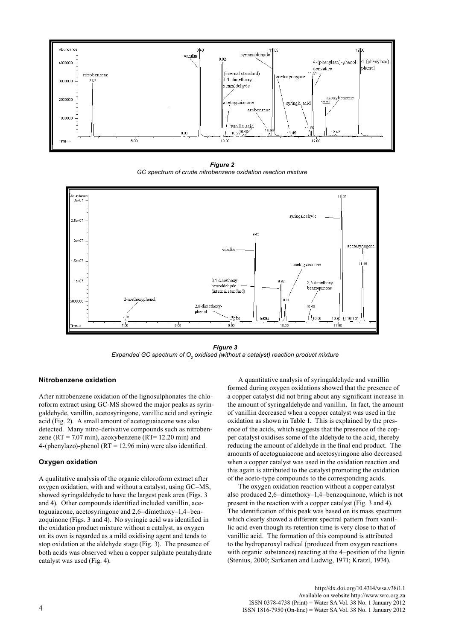

**GC spectrum of crude nitrobenzene oxidation reaction mixture**  *GC spectrum of crude nitrobenzene oxidation reaction mixture Figure 2*



*Figure 3* Expanded GC spectrum of O<sub>2</sub> oxidised (without a catalyst) reaction product mixture

## **Nitrobenzene oxidation**

After nitrobenzene oxidation of the lignosulphonates the chloroform extract using GC-MS showed the major peaks as syringaldehyde, vanillin, acetosyringone, vanillic acid and syringic acid (Fig. 2). A small amount of acetoguaiacone was also detected. Many nitro-derivative compounds such as nitrobenzene (RT =  $7.07$  min), azoxybenzene (RT =  $12.20$  min) and 4-(phenylazo)-phenol ( $RT = 12.96$  min) were also identified.

### **Oxygen oxidation**

A qualitative analysis of the organic chloroform extract after oxygen oxidation, with and without a catalyst, using GC–MS, showed syringaldehyde to have the largest peak area (Figs. 3 and 4). Other compounds identified included vanillin, acetoguaiacone, acetosyringone and 2,6–dimethoxy–1,4–benzoquinone (Figs. 3 and 4). No syringic acid was identified in the oxidation product mixture without a catalyst, as oxygen on its own is regarded as a mild oxidising agent and tends to stop oxidation at the aldehyde stage (Fig. 3). The presence of both acids was observed when a copper sulphate pentahydrate catalyst was used (Fig. 4).

A quantitative analysis of syringaldehyde and vanillin formed during oxygen oxidations showed that the presence of a copper catalyst did not bring about any significant increase in the amount of syringaldehyde and vanillin. In fact, the amount of vanillin decreased when a copper catalyst was used in the oxidation as shown in Table 1. This is explained by the presence of the acids, which suggests that the presence of the copper catalyst oxidises some of the aldehyde to the acid, thereby reducing the amount of aldehyde in the final end product. The amounts of acetoguaiacone and acetosyringone also decreased when a copper catalyst was used in the oxidation reaction and this again is attributed to the catalyst promoting the oxidation of the aceto-type compounds to the corresponding acids.

The oxygen oxidation reaction without a copper catalyst also produced 2,6–dimethoxy–1,4–benzoquinone, which is not present in the reaction with a copper catalyst (Fig. 3 and 4). The identification of this peak was based on its mass spectrum which clearly showed a different spectral pattern from vanillic acid even though its retention time is very close to that of vanillic acid. The formation of this compound is attributed to the hydroperoxyl radical (produced from oxygen reactions with organic substances) reacting at the 4–position of the lignin (Stenius, 2000; Sarkanen and Ludwig, 1971; Kratzl, 1974).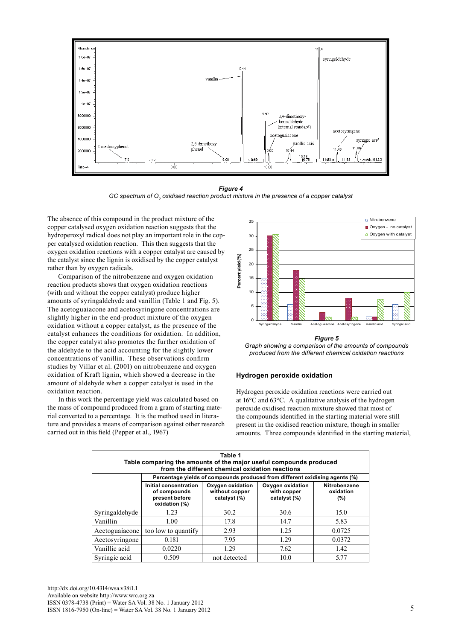

**Figure 4. G** *Figure 4* GC spectrum of O<sub>2</sub> oxidised reaction product mixture in the presence of a copper catalyst

The absence of this compound in the product mixture of the copper catalysed oxygen oxidation reaction suggests that the hydroperoxyl radical does not play an important role in the copper catalysed oxidation reaction. This then suggests that the oxygen oxidation reactions with a copper catalyst are caused by the catalyst since the lignin is oxidised by the copper catalyst rather than by oxygen radicals.

Comparison of the nitrobenzene and oxygen oxidation reaction products shows that oxygen oxidation reactions (with and without the copper catalyst) produce higher amounts of syringaldehyde and vanillin (Table 1 and Fig. 5). The acetoguaiacone and acetosyringone concentrations are slightly higher in the end-product mixture of the oxygen oxidation without a copper catalyst, as the presence of the catalyst enhances the conditions for oxidation. In addition, the copper catalyst also promotes the further oxidation of the aldehyde to the acid accounting for the slightly lower concentrations of vanillin. These observations confirm studies by Villar et al. (2001) on nitrobenzene and oxygen oxidation of Kraft lignin, which showed a decrease in the amount of aldehyde when a copper catalyst is used in the oxidation reaction.

In this work the percentage yield was calculated based on the mass of compound produced from a gram of starting material converted to a percentage. It is the method used in literature and provides a means of comparison against other research carried out in this field (Pepper et al., 1967)



*Figure 5*

*Graph showing a comparison of the amounts of compounds produced from the different chemical oxidation reactions*

### **Hydrogen peroxide oxidation**

Hydrogen peroxide oxidation reactions were carried out at 16°C and 63°C. A qualitative analysis of the hydrogen peroxide oxidised reaction mixture showed that most of the compounds identified in the starting material were still present in the oxidised reaction mixture, though in smaller amounts. Three compounds identified in the starting material,

| Table 1<br>Table comparing the amounts of the major useful compounds produced<br>from the different chemical oxidation reactions |                                                                             |                                                    |                                                 |                                  |  |  |  |
|----------------------------------------------------------------------------------------------------------------------------------|-----------------------------------------------------------------------------|----------------------------------------------------|-------------------------------------------------|----------------------------------|--|--|--|
|                                                                                                                                  | Percentage yields of compounds produced from different oxidising agents (%) |                                                    |                                                 |                                  |  |  |  |
|                                                                                                                                  | Initial concentration<br>of compounds<br>present before<br>oxidation (%)    | Oxygen oxidation<br>without copper<br>catalyst (%) | Oxygen oxidation<br>with copper<br>catalyst (%) | Nitrobenzene<br>oxidation<br>(%) |  |  |  |
| Syringaldehyde                                                                                                                   | 1.23                                                                        | 30.2                                               | 30.6                                            | 15.0                             |  |  |  |
| Vanillin                                                                                                                         | 1.00                                                                        | 17.8                                               | 14.7                                            | 5.83                             |  |  |  |
| Acetoguaiacone                                                                                                                   | too low to quantify                                                         | 2.93                                               | 1.25                                            | 0.0725                           |  |  |  |
| Acetosyringone                                                                                                                   | 0.181                                                                       | 7.95                                               | 1.29                                            | 0.0372                           |  |  |  |
| Vanillic acid                                                                                                                    | 0.0220                                                                      | 1.29                                               | 7.62                                            | 1.42                             |  |  |  |
| Syringic acid                                                                                                                    | 0.509                                                                       | not detected                                       | 10.0                                            | 5.77                             |  |  |  |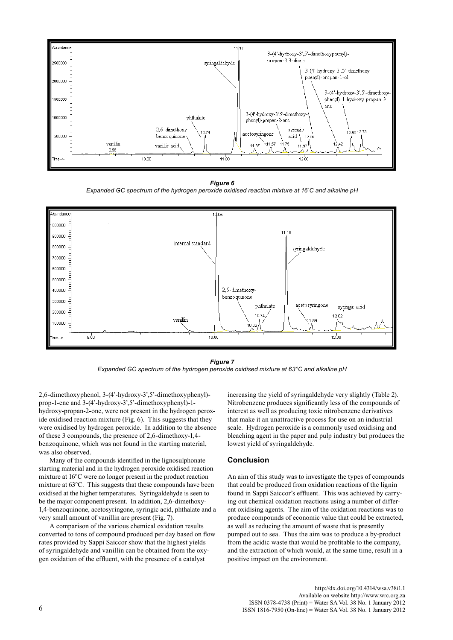

#### *Figure 6*

*Expanded GC spectrum of the hydrogen peroxide oxidised reaction mixture at 16° C and alkaline pH*





2,6-dimethoxyphenol, 3-(4'-hydroxy-3',5'-dimethoxyphenyl) prop-1-ene and 3-(4'-hydroxy-3',5'-dimethoxyphenyl)-1 hydroxy-propan-2-one, were not present in the hydrogen peroxide oxidised reaction mixture (Fig. 6). This suggests that they were oxidised by hydrogen peroxide. In addition to the absence of these 3 compounds, the presence of 2,6-dimethoxy-1,4 benzoquinone, which was not found in the starting material, was also observed.

was also observed.<br>Many of the compounds identified in the lignosulphonate **Conclusion** starting material and in the hydrogen peroxide oxidised reaction mixture at 16°C were no longer present in the product reaction mixture at 63°C. This suggests that these compounds have been oxidised at the higher temperatures. Syringaldehyde is seen to be the major component present. In addition, 2,6-dimethoxy-1,4-benzoquinone, acetosyringone, syringic acid, phthalate and a ent oxidising agents. The aim of the oxidation reactions was<br>registered by Sampi Sainter of the highest City Sainter of the highest yields of secondition in very small amount of vanillin are present (Fig. 7). In the major component present. In addition, 2,6-dimethoxy-<br>The various chemical oxidation reactions using a number of differ-

A comparison of the various chemical oxidation results converted to tons of compound produced per day based on flow of syringaldehyde and vanillin can be obtained from the oxyof by inguitantly as and valitation of the effluent, with the presence of a catalyst positive impact on the environment.

increasing the yield of syringaldehyde very slightly (Table 2). Nitrobenzene produces significantly less of the compounds of interest as well as producing toxic nitrobenzene derivatives that make it an unattractive process for use on an industrial scale. Hydrogen peroxide is a commonly used oxidising and bleaching agent in the paper and pulp industry but produces the lowest yield of syringaldehyde.

### **Conclusion**

rates provided by Sappi Saiccor show that the highest yields from the acidic waste that would be profitable to the company, An aim of this study was to investigate the types of compounds that could be produced from oxidation reactions of the lignin found in Sappi Saiccor's effluent. This was achieved by carryent oxidising agents. The aim of the oxidation reactions was to produce compounds of economic value that could be extracted, A comparison of the various chemical oxidation results as well as reducing the amount of waste that is presently pumped out to sea. Thus the aim was to produce a by-product from the acidic waste that would be profitable to the company, and the extraction of which would, at the same time, result in a positive impact on the environment.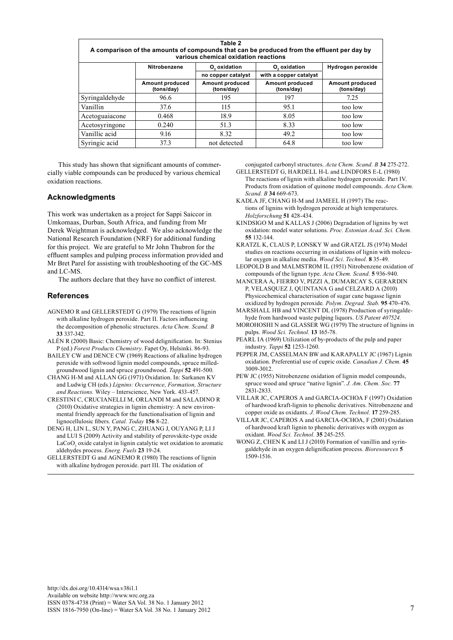| Table 2<br>A comparison of the amounts of compounds that can be produced from the effluent per day by<br>various chemical oxidation reactions |                                      |                                      |                                      |                                      |  |  |  |
|-----------------------------------------------------------------------------------------------------------------------------------------------|--------------------------------------|--------------------------------------|--------------------------------------|--------------------------------------|--|--|--|
|                                                                                                                                               | Nitrobenzene                         | O <sub>2</sub> oxidation             | O <sub>2</sub> oxidation             | Hydrogen peroxide                    |  |  |  |
|                                                                                                                                               |                                      | no copper catalyst                   | with a copper catalyst               |                                      |  |  |  |
|                                                                                                                                               | <b>Amount produced</b><br>(tons/day) | <b>Amount produced</b><br>(tons/day) | <b>Amount produced</b><br>(tons/day) | <b>Amount produced</b><br>(tons/day) |  |  |  |
| Syringaldehyde                                                                                                                                | 96.6                                 | 195                                  | 197                                  | 7.25                                 |  |  |  |
| Vanillin                                                                                                                                      | 37.6                                 | 115                                  | 95.1                                 | too low                              |  |  |  |
| Acetoguaiacone                                                                                                                                | 0.468                                | 18.9                                 | 8.05                                 | too low                              |  |  |  |
| Acetosyringone                                                                                                                                | 0.240                                | 51.3                                 | 8.33                                 | too low                              |  |  |  |
| Vanillic acid                                                                                                                                 | 9.16                                 | 8.32                                 | 49.2                                 | too low                              |  |  |  |
| Syringic acid                                                                                                                                 | 37.3                                 | not detected                         | 64.8                                 | too low                              |  |  |  |

This study has shown that significant amounts of commercially viable compounds can be produced by various chemical oxidation reactions.

### **Acknowledgments**

This work was undertaken as a project for Sappi Saiccor in Umkomaas, Durban, South Africa, and funding from Mr Derek Weightman is acknowledged. We also acknowledge the National Research Foundation (NRF) for additional funding for this project. We are grateful to Mr John Thubron for the effluent samples and pulping process information provided and Mr Bret Parel for assisting with troubleshooting of the GC-MS and LC-MS.

The authors declare that they have no conflict of interest.

### **References**

- AGNEMO R and GELLERSTEDT G (1979) The reactions of lignin with alkaline hydrogen peroxide. Part II. Factors influencing the decomposition of phenolic structures. *Acta Chem. Scand. B* **33** 337-342.
- ALÉN R (2000) Basic: Chemistry of wood delignification. In: Stenius P (ed.) *Forest Products Chemistry*. Fapet Oy, Helsinki. 86-93.
- BAILEY CW and DENCE CW (1969) Reactions of alkaline hydrogen peroxide with softwood lignin model compounds, spruce milledgroundwood lignin and spruce groundwood. *Tappi* **52** 491-500.
- CHANG H-M and ALLAN GG (1971) Oxidation. In: Sarkanen KV and Ludwig CH (eds.) *Lignins: Occurrence, Formation, Structure and Reactions.* Wiley – Interscience, New York. 433-457.
- CRESTINI C, CRUCIANELLI M, ORLANDI M and SALADINO R (2010) Oxidative strategies in lignin chemistry: A new environmental friendly approach for the functionalisation of lignin and lignocellulosic fibers. *Catal. Today* **156** 8-22.
- DENG H, LIN L, SUN Y, PANG C, ZHUANG J, OUYANG P, LI J and LUI S (2009) Activity and stability of perovskite-type oxide LaCoO<sub>3</sub> oxide catalyst in lignin catalytic wet oxidation to aromatic aldehydes process. *Energ. Fuels* **23** 19-24.
- GELLERSTEDT G and AGNEMO R (1980) The reactions of lignin with alkaline hydrogen peroxide. part III. The oxidation of

conjugated carbonyl structures. *Acta Chem. Scand. B* **34** 275-272.

- GELLERSTEDT G, HARDELL H-L and LINDFORS E-L (1980) The reactions of lignin with alkaline hydrogen peroxide. Part IV. Products from oxidation of quinone model compounds. *Acta Chem. Scand. B* **34** 669-673.
- KADLA JF, CHANG H-M and JAMEEL H (1997) The reactions of lignins with hydrogen peroxide at high temperatures. *Holzforschung* **51** 428-434.
- KINDSIGO M and KALLAS J (2006) Degradation of lignins by wet oxidation: model water solutions. *Proc. Estonian Acad. Sci. Chem.* **55** 132-144.
- KRATZL K, CLAUS P, LONSKY W and GRATZL JS (1974) Model studies on reactions occurring in oxidations of lignin with molecular oxygen in alkaline media. *Wood Sci. Technol.* **8** 35-49.
- LEOPOLD B and MALMSTROM IL (1951) Nitrobenzene oxidation of compounds of the lignan type. *Acta Chem. Scand.* **5** 936-940.
- MANCERA A, FIERRO V, PIZZI A, DUMARCAY S, GERARDIN P, VELASQUEZ J, QUINTANA G and CELZARD A (2010) Physicochemical characterisation of sugar cane bagasse lignin oxidized by hydrogen peroxide*. Polym. Degrad. Stab.* **95** 470-476.
- MARSHALL HB and VINCENT DL (1978) Production of syringaldehyde from hardwood waste pulping liquors. *US Patent 407524.*
- MOROHOSHI N and GLASSER WG (1979) The structure of lignins in pulps. *Wood Sci. Technol.* **13** 165-78.
- PEARL IA (1969) Utilization of by-products of the pulp and paper industry. *Tappi* **52** 1253-1260.
- PEPPER JM, CASSELMAN BW and KARAPALLY JC (1967) Lignin oxidation. Preferential use of cupric oxide. *Canadian J. Chem.* **45**  3009-3012.
- PEW JC (1955) Nitrobenzene oxidation of lignin model compounds, spruce wood and spruce "native lignin". *J. Am. Chem. Soc.* **77**  2831-2833.
- VILLAR JC, CAPEROS A and GARCIA-OCHOA F (1997) Oxidation of hardwood kraft-lignin to phenolic derivatives. Nitrobenzene and copper oxide as oxidants. *J. Wood Chem. Technol.* **17** 259-285.
- VILLAR JC, CAPEROS A and GARCIA-OCHOA, F (2001) Oxidation of hardwood kraft lignin to phenolic derivatives with oxygen as oxidant. *Wood Sci. Technol.* **35** 245-255.
- WONG Z, CHEN K and LI J (2010) Formation of vanillin and syringaldehyde in an oxygen delignification process. *Bioresources* **5**  1509-1516.